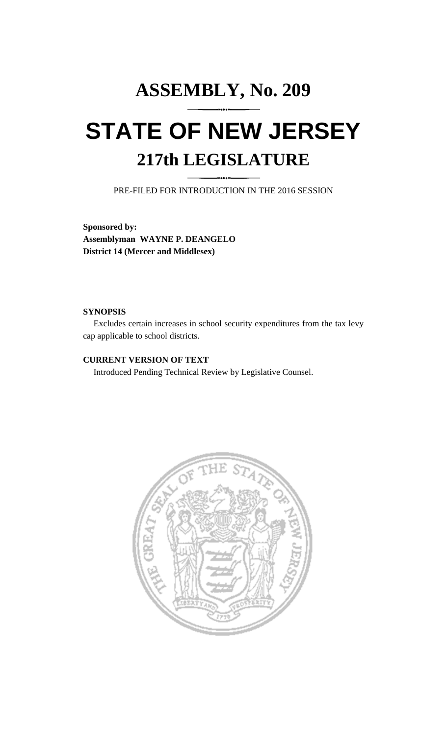## **ASSEMBLY, No. 209 STATE OF NEW JERSEY 217th LEGISLATURE**

PRE-FILED FOR INTRODUCTION IN THE 2016 SESSION

**Sponsored by: Assemblyman WAYNE P. DEANGELO District 14 (Mercer and Middlesex)**

## **SYNOPSIS**

Excludes certain increases in school security expenditures from the tax levy cap applicable to school districts.

## **CURRENT VERSION OF TEXT**

Introduced Pending Technical Review by Legislative Counsel.

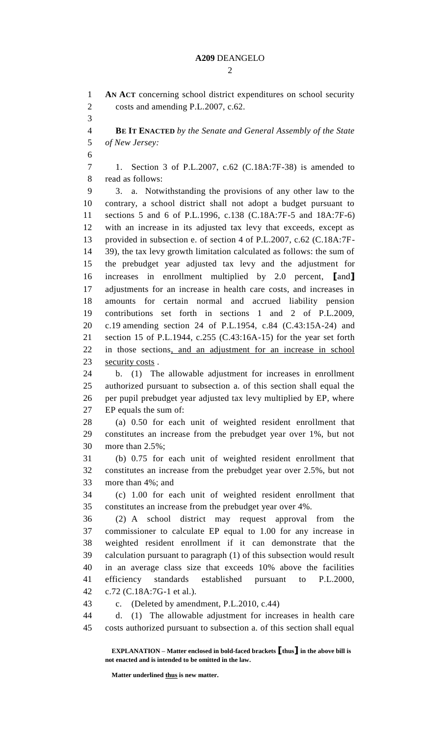$\mathcal{D}_{\mathcal{L}}$ 

**AN ACT** concerning school district expenditures on school security

costs and amending P.L.2007, c.62.

 **BE IT ENACTED** *by the Senate and General Assembly of the State of New Jersey:* 1. Section 3 of P.L.2007, c.62 (C.18A:7F-38) is amended to read as follows: 3. a. Notwithstanding the provisions of any other law to the contrary, a school district shall not adopt a budget pursuant to sections 5 and 6 of P.L.1996, c.138 (C.18A:7F-5 and 18A:7F-6) with an increase in its adjusted tax levy that exceeds, except as provided in subsection e. of section 4 of P.L.2007, c.62 (C.18A:7F- 39), the tax levy growth limitation calculated as follows: the sum of the prebudget year adjusted tax levy and the adjustment for increases in enrollment multiplied by 2.0 percent, **[**and**]** adjustments for an increase in health care costs, and increases in amounts for certain normal and accrued liability pension contributions set forth in sections 1 and 2 of P.L.2009, c.19 amending section 24 of P.L.1954, c.84 (C.43:15A-24) and section 15 of P.L.1944, c.255 (C.43:16A-15) for the year set forth in those sections, and an adjustment for an increase in school 23 security costs. b. (1) The allowable adjustment for increases in enrollment authorized pursuant to subsection a. of this section shall equal the per pupil prebudget year adjusted tax levy multiplied by EP, where EP equals the sum of:

 (a) 0.50 for each unit of weighted resident enrollment that constitutes an increase from the prebudget year over 1%, but not more than 2.5%;

 (b) 0.75 for each unit of weighted resident enrollment that constitutes an increase from the prebudget year over 2.5%, but not more than 4%; and

 (c) 1.00 for each unit of weighted resident enrollment that constitutes an increase from the prebudget year over 4%.

 (2) A school district may request approval from the commissioner to calculate EP equal to 1.00 for any increase in weighted resident enrollment if it can demonstrate that the calculation pursuant to paragraph (1) of this subsection would result in an average class size that exceeds 10% above the facilities efficiency standards established pursuant to P.L.2000, c.72 (C.18A:7G-1 et al.).

c. (Deleted by amendment, P.L.2010, c.44)

 d. (1) The allowable adjustment for increases in health care costs authorized pursuant to subsection a. of this section shall equal

**EXPLANATION – Matter enclosed in bold-faced brackets [thus] in the above bill is not enacted and is intended to be omitted in the law.**

**Matter underlined thus is new matter.**